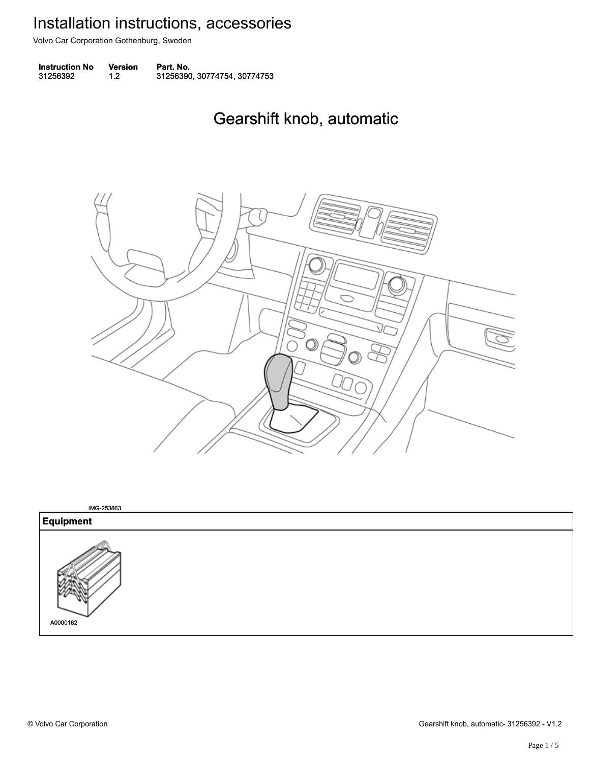Volvo Car Corporation Gothenburg, Sweden

**Instruction No** Version Part. No. 31256392 1.2 31256390, 30774754, 30774753 312563921.231256390, 30774754, 30774753

## Gearshift knob, automatic Gearshift knob, automatic



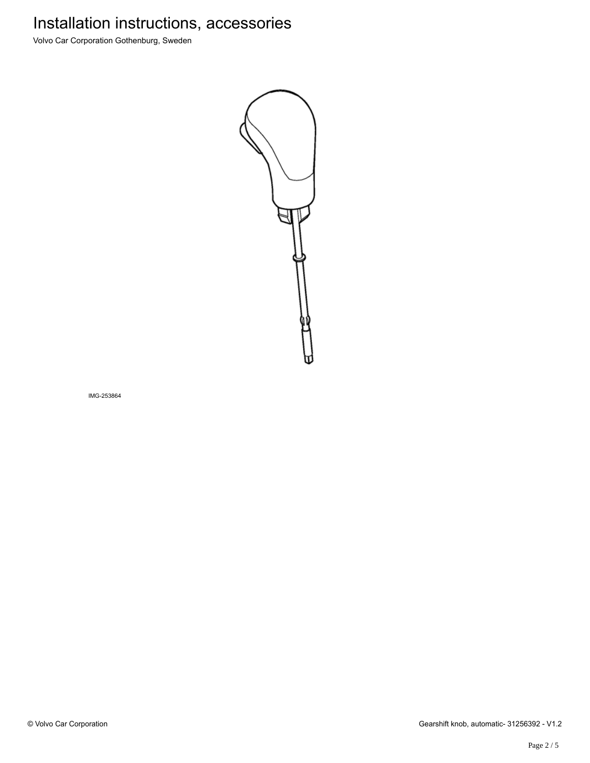Volvo Car Corporation Gothenburg, Sweden



IMG-253864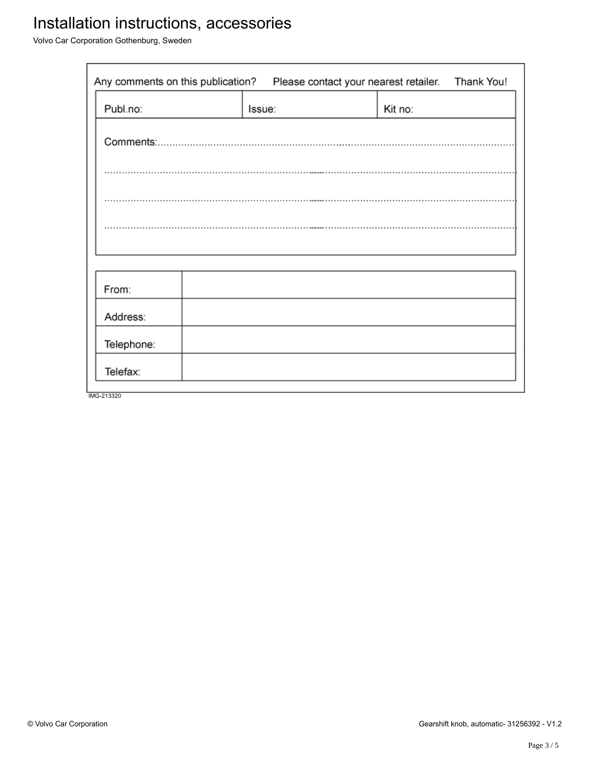Volvo Car Corporation Gothenburg, Sweden

| Any comments on this publication?<br>Thank You!<br>Please contact your nearest retailer. |  |        |         |  |
|------------------------------------------------------------------------------------------|--|--------|---------|--|
| Publ.no:                                                                                 |  | Issue: | Kit no: |  |
|                                                                                          |  |        |         |  |
|                                                                                          |  |        |         |  |
|                                                                                          |  |        |         |  |
|                                                                                          |  |        |         |  |
|                                                                                          |  |        |         |  |
| From:                                                                                    |  |        |         |  |
| Address:                                                                                 |  |        |         |  |
| Telephone:                                                                               |  |        |         |  |
| Telefax:                                                                                 |  |        |         |  |
| IMG-213320                                                                               |  |        |         |  |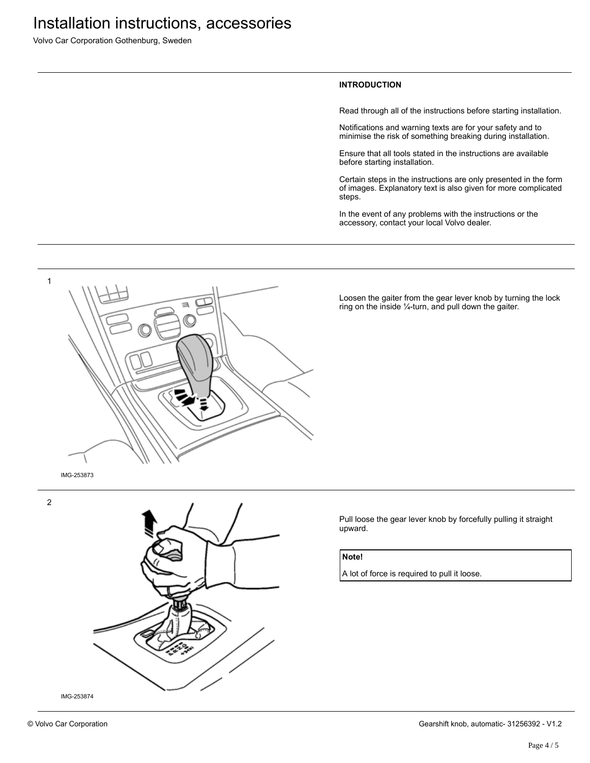Volvo Car Corporation Gothenburg, Sweden

#### **INTRODUCTION**

Read through all of the instructions before starting installation.

Notifications and warning texts are for your safety and to minimise the risk of something breaking during installation.

Ensure that all tools stated in the instructions are available before starting installation.

Certain steps in the instructions are only presented in the form of images. Explanatory text is also given for more complicated steps.

In the event of any problems with the instructions or the accessory, contact your local Volvo dealer.



Loosen the gaiter from the gear lever knob by turning the lock ring on the inside ¼-turn, and pull down the gaiter.



Pull loose the gear lever knob by forcefully pulling it straight upward.

#### **Note!**

A lot of force is required to pull it loose.

2